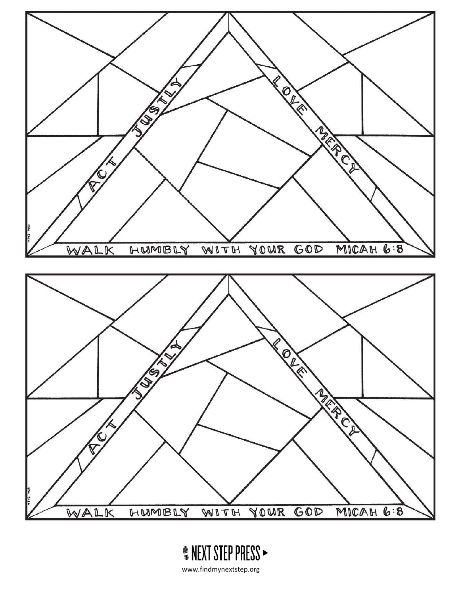



www.findmynextstep.org